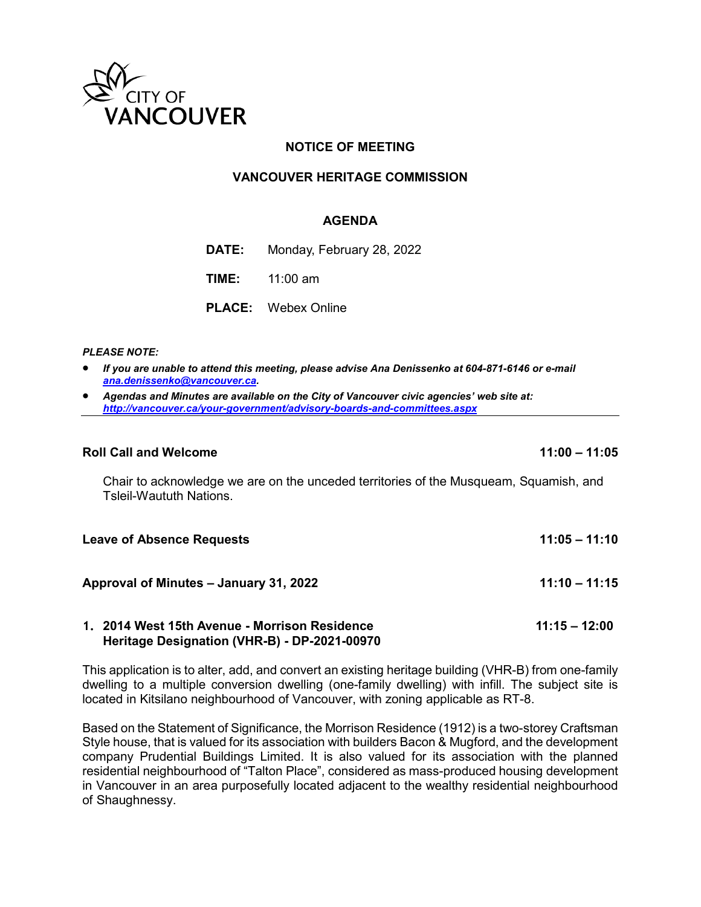

# **NOTICE OF MEETING**

## **VANCOUVER HERITAGE COMMISSION**

## **AGENDA**

**DATE:** Monday, February 28, 2022

**TIME:** 11:00 am

**Heritage Designation (VHR-B) - DP-2021-00970**

**PLACE:** Webex Online

#### *PLEASE NOTE:*

- *If you are unable to attend this meeting, please advise Ana Denissenko at 604-871-6146 or e-mail [ana.denissenko@vancouver.ca.](mailto:ana.denissenko@vancouver.ca)*
- *Agendas and Minutes are available on the City of Vancouver civic agencies' web site at: <http://vancouver.ca/your-government/advisory-boards-and-committees.aspx>*

#### **Roll Call and Welcome 11:00 – 11:05**

Chair to acknowledge we are on the unceded territories of the Musqueam, Squamish, and Tsleil-Waututh Nations.

| <b>Leave of Absence Requests</b>              | $11:05 - 11:10$ |
|-----------------------------------------------|-----------------|
| Approval of Minutes - January 31, 2022        | $11:10 - 11:15$ |
| 1. 2014 West 15th Avenue - Morrison Residence | $11:15 - 12:00$ |

This application is to alter, add, and convert an existing heritage building (VHR-B) from one-family dwelling to a multiple conversion dwelling (one-family dwelling) with infill. The subject site is located in Kitsilano neighbourhood of Vancouver, with zoning applicable as RT-8.

Based on the Statement of Significance, the Morrison Residence (1912) is a two-storey Craftsman Style house, that is valued for its association with builders Bacon & Mugford, and the development company Prudential Buildings Limited. It is also valued for its association with the planned residential neighbourhood of "Talton Place", considered as mass-produced housing development in Vancouver in an area purposefully located adjacent to the wealthy residential neighbourhood of Shaughnessy.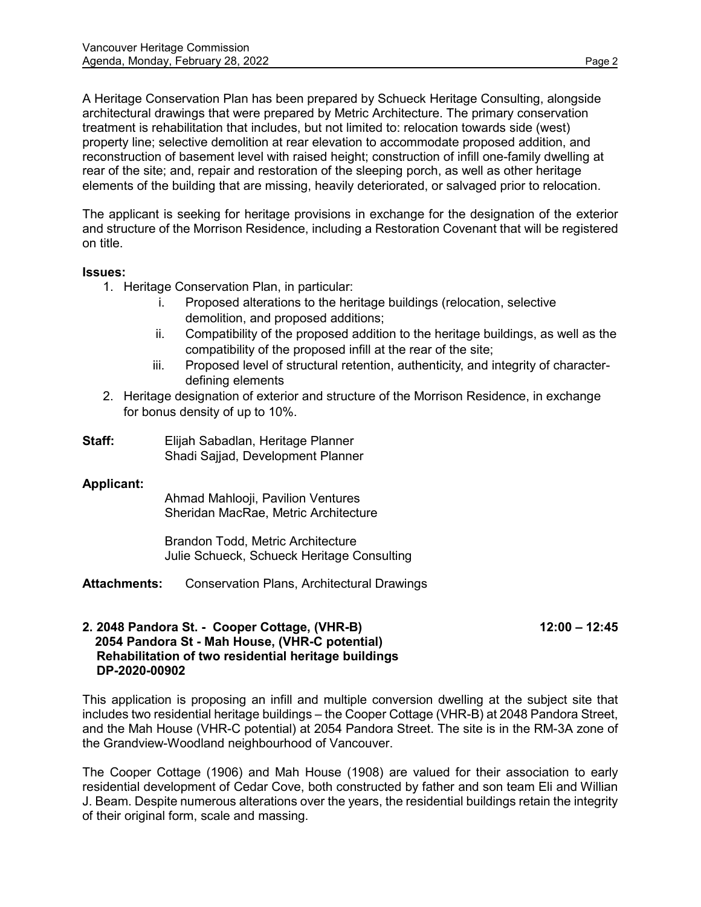A Heritage Conservation Plan has been prepared by Schueck Heritage Consulting, alongside architectural drawings that were prepared by Metric Architecture. The primary conservation treatment is rehabilitation that includes, but not limited to: relocation towards side (west) property line; selective demolition at rear elevation to accommodate proposed addition, and reconstruction of basement level with raised height; construction of infill one-family dwelling at rear of the site; and, repair and restoration of the sleeping porch, as well as other heritage elements of the building that are missing, heavily deteriorated, or salvaged prior to relocation.

The applicant is seeking for heritage provisions in exchange for the designation of the exterior and structure of the Morrison Residence, including a Restoration Covenant that will be registered on title.

## **Issues:**

- 1. Heritage Conservation Plan, in particular:
	- i. Proposed alterations to the heritage buildings (relocation, selective demolition, and proposed additions;
	- ii. Compatibility of the proposed addition to the heritage buildings, as well as the compatibility of the proposed infill at the rear of the site;
	- iii. Proposed level of structural retention, authenticity, and integrity of characterdefining elements
- 2. Heritage designation of exterior and structure of the Morrison Residence, in exchange for bonus density of up to 10%.
- **Staff:** Elijah Sabadlan, Heritage Planner Shadi Sajjad, Development Planner

# **Applicant:**

Ahmad Mahlooji, Pavilion Ventures Sheridan MacRae, Metric Architecture

Brandon Todd, Metric Architecture Julie Schueck, Schueck Heritage Consulting

**Attachments:** Conservation Plans, Architectural Drawings

## **2. 2048 Pandora St. - Cooper Cottage, (VHR-B) 12:00 – 12:45 2054 Pandora St - Mah House, (VHR-C potential) Rehabilitation of two residential heritage buildings DP-2020-00902**

This application is proposing an infill and multiple conversion dwelling at the subject site that includes two residential heritage buildings – the Cooper Cottage (VHR-B) at 2048 Pandora Street, and the Mah House (VHR-C potential) at 2054 Pandora Street. The site is in the RM-3A zone of the Grandview-Woodland neighbourhood of Vancouver.

The Cooper Cottage (1906) and Mah House (1908) are valued for their association to early residential development of Cedar Cove, both constructed by father and son team Eli and Willian J. Beam. Despite numerous alterations over the years, the residential buildings retain the integrity of their original form, scale and massing.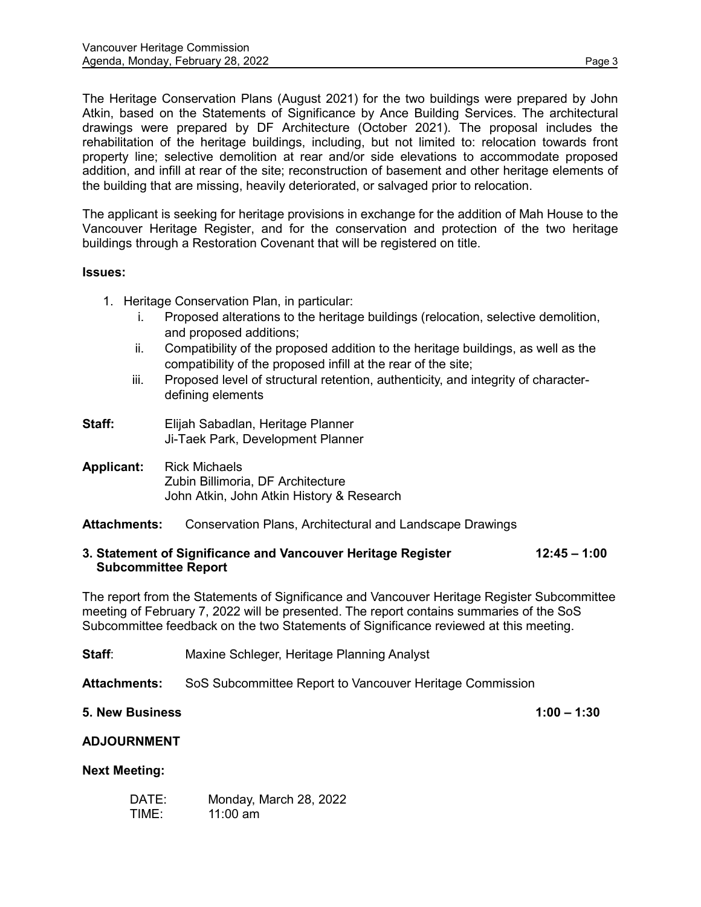The Heritage Conservation Plans (August 2021) for the two buildings were prepared by John Atkin, based on the Statements of Significance by Ance Building Services. The architectural drawings were prepared by DF Architecture (October 2021). The proposal includes the rehabilitation of the heritage buildings, including, but not limited to: relocation towards front property line; selective demolition at rear and/or side elevations to accommodate proposed addition, and infill at rear of the site; reconstruction of basement and other heritage elements of the building that are missing, heavily deteriorated, or salvaged prior to relocation.

The applicant is seeking for heritage provisions in exchange for the addition of Mah House to the Vancouver Heritage Register, and for the conservation and protection of the two heritage buildings through a Restoration Covenant that will be registered on title.

## **Issues:**

- 1. Heritage Conservation Plan, in particular:
	- i. Proposed alterations to the heritage buildings (relocation, selective demolition, and proposed additions;
	- ii. Compatibility of the proposed addition to the heritage buildings, as well as the compatibility of the proposed infill at the rear of the site;
	- iii. Proposed level of structural retention, authenticity, and integrity of characterdefining elements
- **Staff:** Elijah Sabadlan, Heritage Planner Ji-Taek Park, Development Planner
- **Applicant:** Rick Michaels Zubin Billimoria, DF Architecture John Atkin, John Atkin History & Research

# **Attachments:** Conservation Plans, Architectural and Landscape Drawings

## **3. Statement of Significance and Vancouver Heritage Register 12:45 – 1:00 Subcommittee Report**

The report from the Statements of Significance and Vancouver Heritage Register Subcommittee meeting of February 7, 2022 will be presented. The report contains summaries of the SoS Subcommittee feedback on the two Statements of Significance reviewed at this meeting.

**Staff:** Maxine Schleger, Heritage Planning Analyst

**Attachments:** SoS Subcommittee Report to Vancouver Heritage Commission

# **5. New Business 1:00 – 1:30**

# **ADJOURNMENT**

## **Next Meeting:**

| DATE: | Monday, March 28, 2022 |
|-------|------------------------|
| TIME: | $11:00$ am             |